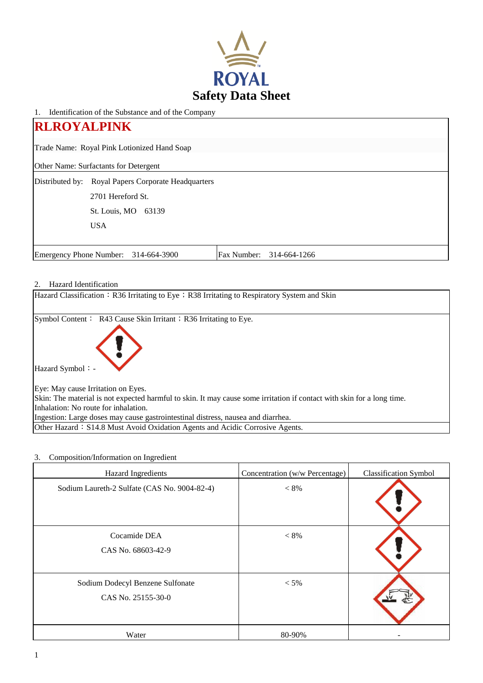

1. Identification of the Substance and of the Company

| <b>RLROYALPINK</b>                                               |                                       |  |  |  |  |
|------------------------------------------------------------------|---------------------------------------|--|--|--|--|
| Trade Name: Royal Pink Lotionized Hand Soap                      |                                       |  |  |  |  |
|                                                                  | Other Name: Surfactants for Detergent |  |  |  |  |
| Distributed by:                                                  | Royal Papers Corporate Headquarters   |  |  |  |  |
|                                                                  | 2701 Hereford St.                     |  |  |  |  |
|                                                                  | St. Louis, MO<br>63139                |  |  |  |  |
|                                                                  | <b>USA</b>                            |  |  |  |  |
|                                                                  |                                       |  |  |  |  |
| Emergency Phone Number: 314-664-3900<br>Fax Number: 314-664-1266 |                                       |  |  |  |  |

# 2. Hazard Identification

| Hazard Classification: R36 Irritating to Eye; R38 Irritating to Respiratory System and Skin                            |
|------------------------------------------------------------------------------------------------------------------------|
| Symbol Content: R43 Cause Skin Irritant; R36 Irritating to Eye.                                                        |
| Hazard Symbol: -                                                                                                       |
| Eye: May cause Irritation on Eyes.                                                                                     |
| Skin: The material is not expected harmful to skin. It may cause some irritation if contact with skin for a long time. |
| Inhalation: No route for inhalation.                                                                                   |
| Ingestion: Large doses may cause gastrointestinal distress, nausea and diarrhea.                                       |
| Other Hazard: S14.8 Must Avoid Oxidation Agents and Acidic Corrosive Agents.                                           |

# 3. Composition/Information on Ingredient

| Hazard Ingredients                                     | Concentration (w/w Percentage) | <b>Classification Symbol</b> |
|--------------------------------------------------------|--------------------------------|------------------------------|
| Sodium Laureth-2 Sulfate (CAS No. 9004-82-4)           | $< 8\%$                        |                              |
| Cocamide DEA<br>CAS No. 68603-42-9                     | $< 8\%$                        |                              |
| Sodium Dodecyl Benzene Sulfonate<br>CAS No. 25155-30-0 | $< 5\%$                        |                              |
| Water                                                  | 80-90%                         |                              |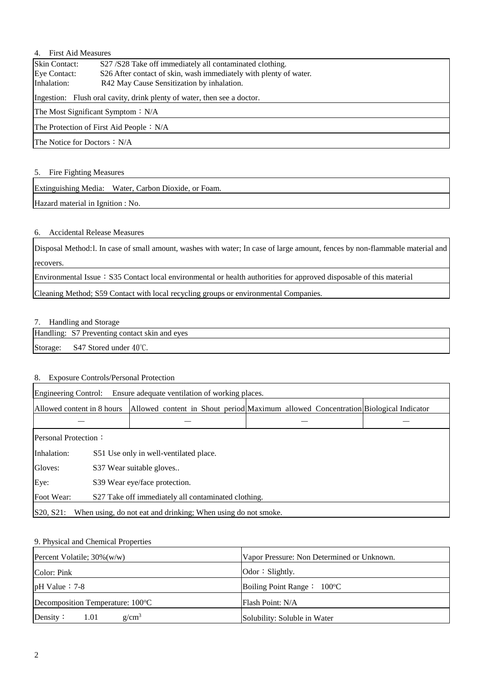# 4. First Aid Measures

| <b>Skin Contact:</b>                                                    | S27/S28 Take off immediately all contaminated clothing.           |  |  |  |
|-------------------------------------------------------------------------|-------------------------------------------------------------------|--|--|--|
| Eye Contact:                                                            | S26 After contact of skin, wash immediately with plenty of water. |  |  |  |
| Inhalation:                                                             | R42 May Cause Sensitization by inhalation.                        |  |  |  |
| Ingestion: Flush oral cavity, drink plenty of water, then see a doctor. |                                                                   |  |  |  |
| The Most Significant Symptom $: N/A$                                    |                                                                   |  |  |  |
| The Protection of First Aid People $: N/A$                              |                                                                   |  |  |  |
| The Notice for Doctors $: N/A$                                          |                                                                   |  |  |  |

### 5. Fire Fighting Measures

Extinguishing Media: Water, Carbon Dioxide, or Foam.

Hazard material in Ignition : No.

## 6. Accidental Release Measures

Disposal Method:l. In case of small amount, washes with water; In case of large amount, fences by non-flammable material and recovers.

Environmental Issue: S35 Contact local environmental or health authorities for approved disposable of this material

Cleaning Method; S59 Contact with local recycling groups or environmental Companies.

### 7. Handling and Storage

Handling: S7 Preventing contact skin and eyes

Storage: S47 Stored under 40°C.

## 8. Exposure Controls/Personal Protection

| Engineering Control:<br>Ensure adequate ventilation of working places.     |                                        |  |  |  |  |  |  |                                                                                    |
|----------------------------------------------------------------------------|----------------------------------------|--|--|--|--|--|--|------------------------------------------------------------------------------------|
| Allowed content in 8 hours                                                 |                                        |  |  |  |  |  |  | Allowed content in Shout period Maximum allowed Concentration Biological Indicator |
|                                                                            |                                        |  |  |  |  |  |  |                                                                                    |
| <b>Personal Protection:</b>                                                |                                        |  |  |  |  |  |  |                                                                                    |
| Inhalation:                                                                | S51 Use only in well-ventilated place. |  |  |  |  |  |  |                                                                                    |
| Gloves:                                                                    | S37 Wear suitable gloves               |  |  |  |  |  |  |                                                                                    |
| Eye:                                                                       | S39 Wear eye/face protection.          |  |  |  |  |  |  |                                                                                    |
| Foot Wear:<br>S27 Take off immediately all contaminated clothing.          |                                        |  |  |  |  |  |  |                                                                                    |
| S20, S21:<br>When using, do not eat and drinking; When using do not smoke. |                                        |  |  |  |  |  |  |                                                                                    |

### 9. Physical and Chemical Properties

| Percent Volatile; $30\%$ (w/w)   | Vapor Pressure: Non Determined or Unknown. |  |  |
|----------------------------------|--------------------------------------------|--|--|
| Color: Pink                      | Odor $\colon$ Slightly.                    |  |  |
| $pH$ Value : 7-8                 | Boiling Point Range: 100°C                 |  |  |
| Decomposition Temperature: 100°C | Flash Point: N/A                           |  |  |
| $g/cm^3$<br>Density:<br>1.01     | Solubility: Soluble in Water               |  |  |